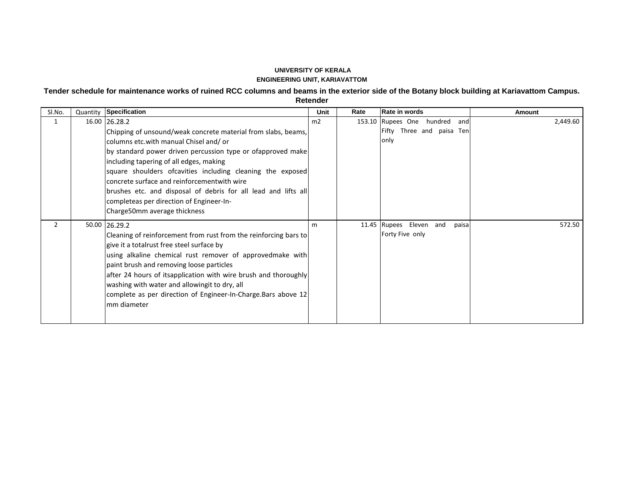## **UNIVERSITY OF KERALA ENGINEERING UNIT, KARIAVATTOM**

**Tender schedule for maintenance works of ruined RCC columns and beams in the exterior side of the Botany block building at Kariavattom Campus.** 

**Retender** 

| SI.No.         | Quantity Specification                                                                                                                                                                                                                                                                                                                                                                                                                                                                        | Unit | Rate | Rate in words                                                             | <b>Amount</b> |
|----------------|-----------------------------------------------------------------------------------------------------------------------------------------------------------------------------------------------------------------------------------------------------------------------------------------------------------------------------------------------------------------------------------------------------------------------------------------------------------------------------------------------|------|------|---------------------------------------------------------------------------|---------------|
| 1              | 16.00 26.28.2<br>Chipping of unsound/weak concrete material from slabs, beams,<br>columns etc.with manual Chisel and/or<br>by standard power driven percussion type or ofapproved make<br>including tapering of all edges, making<br>square shoulders ofcavities including cleaning the exposed<br>concrete surface and reinforcementwith wire<br>brushes etc. and disposal of debris for all lead and lifts all<br>completeas per direction of Engineer-In-<br>Charge 50mm average thickness | m2   |      | 153.10 Rupees One<br>hundred<br>andl<br>Fifty Three and paisa Ten<br>only | 2,449.60      |
| $\overline{2}$ | 50.00 26.29.2<br>Cleaning of reinforcement from rust from the reinforcing bars to<br>give it a totalrust free steel surface by<br>using alkaline chemical rust remover of approvedmake with<br>paint brush and removing loose particles<br>after 24 hours of itsapplication with wire brush and thoroughly<br>washing with water and allowingit to dry, all<br>complete as per direction of Engineer-In-Charge. Bars above 12<br>Imm diameter                                                 | m    |      | 11.45 Rupees Eleven and<br>paisa<br>Forty Five only                       | 572.50        |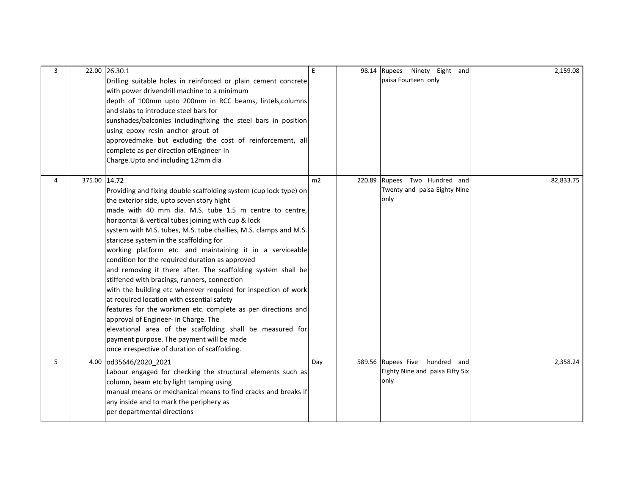| 3 |              | 22.00 26.30.1<br>Drilling suitable holes in reinforced or plain cement concrete<br>with power drivendrill machine to a minimum<br>depth of 100mm upto 200mm in RCC beams, lintels, columns<br>and slabs to introduce steel bars for<br>sunshades/balconies includingfixing the steel bars in position<br>using epoxy resin anchor grout of<br>approvedmake but excluding the cost of reinforcement, all<br>complete as per direction of Engineer-In-<br>Charge. Upto and including 12mm dia                                                                                                                                                                                                                                                                                                                                                                                                                                                                       | E   | 98.14 | Rupees Ninety Eight and<br>paisa Fourteen only                               | 2,159.08  |
|---|--------------|-------------------------------------------------------------------------------------------------------------------------------------------------------------------------------------------------------------------------------------------------------------------------------------------------------------------------------------------------------------------------------------------------------------------------------------------------------------------------------------------------------------------------------------------------------------------------------------------------------------------------------------------------------------------------------------------------------------------------------------------------------------------------------------------------------------------------------------------------------------------------------------------------------------------------------------------------------------------|-----|-------|------------------------------------------------------------------------------|-----------|
| 4 | 375.00 14.72 | Providing and fixing double scaffolding system (cup lock type) on<br>the exterior side, upto seven story hight<br>made with 40 mm dia. M.S. tube 1.5 m centre to centre,<br>horizontal & vertical tubes joining with cup & lock<br>system with M.S. tubes, M.S. tube challies, M.S. clamps and M.S.<br>staricase system in the scaffolding for<br>working platform etc. and maintaining it in a serviceable<br>condition for the required duration as approved<br>and removing it there after. The scaffolding system shall be<br>stiffened with bracings, runners, connection<br>with the building etc wherever required for inspection of work<br>at required location with essential safety<br>features for the workmen etc. complete as per directions and<br>approval of Engineer- in Charge. The<br>elevational area of the scaffolding shall be measured for<br>payment purpose. The payment will be made<br>once irrespective of duration of scaffolding. | m2  |       | 220.89 Rupees Two Hundred and<br>Twenty and paisa Eighty Nine<br>only        | 82,833.75 |
| 5 |              | 4.00 od35646/2020 2021<br>Labour engaged for checking the structural elements such as<br>column, beam etc by light tamping using<br>manual means or mechanical means to find cracks and breaks if<br>any inside and to mark the periphery as<br>per departmental directions                                                                                                                                                                                                                                                                                                                                                                                                                                                                                                                                                                                                                                                                                       | Day |       | 589.56 Rupees Five<br>hundred and<br>Eighty Nine and paisa Fifty Six<br>only | 2,358.24  |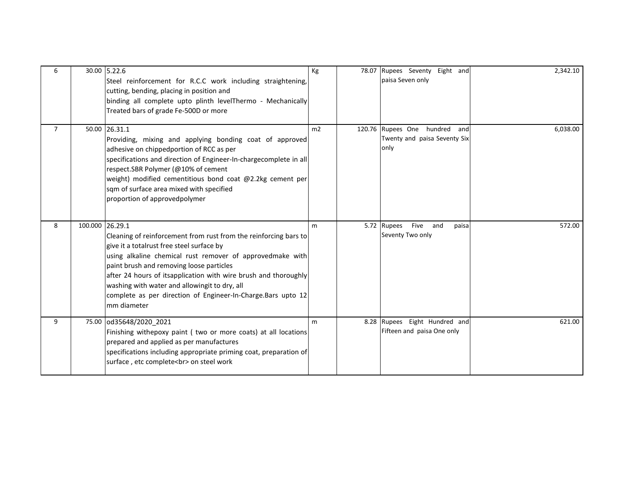| 6              |                 | 30.00 5.22.6<br>Steel reinforcement for R.C.C work including straightening,<br>cutting, bending, placing in position and<br>binding all complete upto plinth levelThermo - Mechanically<br>Treated bars of grade Fe-500D or more                                                                                                                                                                                          | Kg | 78.07 | Rupees Seventy Eight and<br>paisa Seven only                          | 2,342.10 |
|----------------|-----------------|---------------------------------------------------------------------------------------------------------------------------------------------------------------------------------------------------------------------------------------------------------------------------------------------------------------------------------------------------------------------------------------------------------------------------|----|-------|-----------------------------------------------------------------------|----------|
| $\overline{7}$ |                 | 50.00 26.31.1<br>Providing, mixing and applying bonding coat of approved<br>adhesive on chippedportion of RCC as per<br>specifications and direction of Engineer-In-chargecomplete in all<br>respect.SBR Polymer (@10% of cement<br>weight) modified cementitious bond coat @2.2kg cement per<br>sqm of surface area mixed with specified<br>proportion of approvedpolymer                                                | m2 |       | 120.76 Rupees One hundred and<br>Twenty and paisa Seventy Six<br>only | 6,038.00 |
| 8              | 100.000 26.29.1 | Cleaning of reinforcement from rust from the reinforcing bars to<br>give it a totalrust free steel surface by<br>using alkaline chemical rust remover of approvedmake with<br>paint brush and removing loose particles<br>after 24 hours of itsapplication with wire brush and thoroughly<br>washing with water and allowingit to dry, all<br>complete as per direction of Engineer-In-Charge.Bars upto 12<br>mm diameter | m  |       | Five<br>5.72 Rupees<br>and<br>paisa<br>Seventy Two only               | 572.00   |
| 9              |                 | 75.00 od35648/2020 2021<br>Finishing withepoxy paint ( two or more coats) at all locations<br>prepared and applied as per manufactures<br>specifications including appropriate priming coat, preparation of<br>surface, etc complete<br>on steel work                                                                                                                                                                     | m  |       | 8.28 Rupees Eight Hundred and<br>Fifteen and paisa One only           | 621.00   |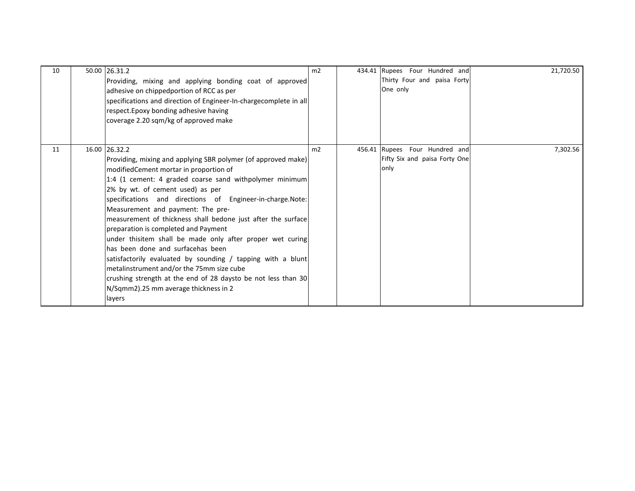| 10 | 50.00 26.31.2<br>Providing, mixing and applying bonding coat of approved<br>adhesive on chippedportion of RCC as per<br>specifications and direction of Engineer-In-chargecomplete in all<br>respect. Epoxy bonding adhesive having<br>coverage 2.20 sqm/kg of approved make                                                                                                                                                                                                                                                                                                                                                                                                                                                                                        | m <sub>2</sub> | 434.41 Rupees Four Hundred and<br>Thirty Four and paisa Forty<br>One only  | 21,720.50 |
|----|---------------------------------------------------------------------------------------------------------------------------------------------------------------------------------------------------------------------------------------------------------------------------------------------------------------------------------------------------------------------------------------------------------------------------------------------------------------------------------------------------------------------------------------------------------------------------------------------------------------------------------------------------------------------------------------------------------------------------------------------------------------------|----------------|----------------------------------------------------------------------------|-----------|
| 11 | 16.00 26.32.2<br>Providing, mixing and applying SBR polymer (of approved make)<br>modifiedCement mortar in proportion of<br>1:4 (1 cement: 4 graded coarse sand withpolymer minimum<br>2% by wt. of cement used) as per<br>specifications and directions of Engineer-in-charge.Note:<br>Measurement and payment: The pre-<br>measurement of thickness shall bedone just after the surface<br>preparation is completed and Payment<br>under thisitem shall be made only after proper wet curing<br>has been done and surfacehas been<br>satisfactorily evaluated by sounding / tapping with a blunt<br>metalinstrument and/or the 75mm size cube<br>crushing strength at the end of 28 daysto be not less than 30<br>N/Sqmm2).25 mm average thickness in 2<br>layers | m2             | 456.41 Rupees<br>Four Hundred and<br>Fifty Six and paisa Forty One<br>only | 7,302.56  |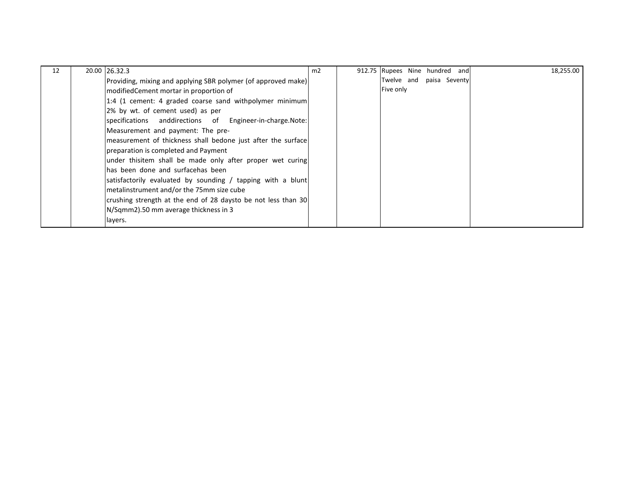| 12 | 20.00 26.32.3                                                   | m2 | 912.75 Rupees Nine hundred and |  | 18,255.00 |
|----|-----------------------------------------------------------------|----|--------------------------------|--|-----------|
|    | [Providing, mixing and applying SBR polymer (of approved make)] |    | Twelve and paisa Seventy       |  |           |
|    | modifiedCement mortar in proportion of                          |    | Five only                      |  |           |
|    | 1:4 (1 cement: 4 graded coarse sand withpolymer minimum)        |    |                                |  |           |
|    | 2% by wt. of cement used) as per                                |    |                                |  |           |
|    | specifications anddirections of Engineer-in-charge.Note:        |    |                                |  |           |
|    | Measurement and payment: The pre-                               |    |                                |  |           |
|    | measurement of thickness shall bedone just after the surface    |    |                                |  |           |
|    | preparation is completed and Payment                            |    |                                |  |           |
|    | under thisitem shall be made only after proper wet curing       |    |                                |  |           |
|    | lhas been done and surfacehas been                              |    |                                |  |           |
|    | satisfactorily evaluated by sounding / tapping with a blunt     |    |                                |  |           |
|    | metalinstrument and/or the 75mm size cube                       |    |                                |  |           |
|    | crushing strength at the end of 28 daysto be not less than 30   |    |                                |  |           |
|    | N/Sqmm2).50 mm average thickness in 3                           |    |                                |  |           |
|    | layers.                                                         |    |                                |  |           |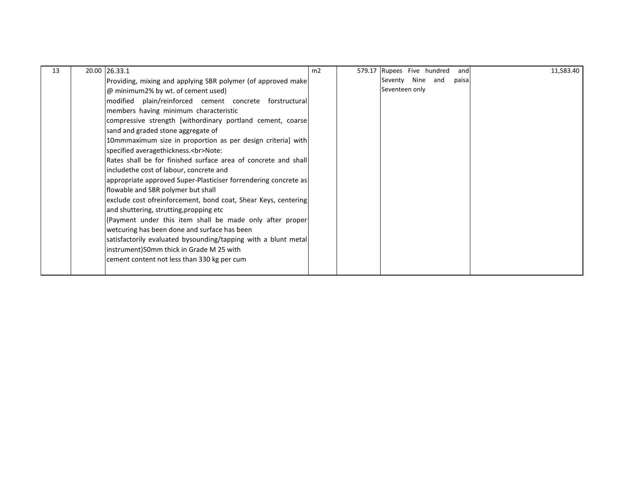| 13 | 20.00 26.33.1                                                   | m2 | 579.17 Rupees Five hundred      | 11,583.40<br>and |
|----|-----------------------------------------------------------------|----|---------------------------------|------------------|
|    | Providing, mixing and applying SBR polymer (of approved make    |    | Nine<br>Seventy<br>and<br>paisa |                  |
|    | @ minimum2% by wt. of cement used)                              |    | Seventeen only                  |                  |
|    | modified plain/reinforced cement concrete forstructural         |    |                                 |                  |
|    | members having minimum characteristic                           |    |                                 |                  |
|    | compressive strength [withordinary portland cement, coarse]     |    |                                 |                  |
|    | sand and graded stone aggregate of                              |    |                                 |                  |
|    | 10mmmaximum size in proportion as per design criterial with     |    |                                 |                  |
|    | specified averagethickness.<br>Note:                            |    |                                 |                  |
|    | Rates shall be for finished surface area of concrete and shall  |    |                                 |                  |
|    | includethe cost of labour, concrete and                         |    |                                 |                  |
|    | appropriate approved Super-Plasticiser forrendering concrete as |    |                                 |                  |
|    | flowable and SBR polymer but shall                              |    |                                 |                  |
|    | exclude cost ofreinforcement, bond coat, Shear Keys, centering  |    |                                 |                  |
|    | and shuttering, strutting, propping etc                         |    |                                 |                  |
|    | (Payment under this item shall be made only after proper        |    |                                 |                  |
|    | wetcuring has been done and surface has been                    |    |                                 |                  |
|    | satisfactorily evaluated bysounding/tapping with a blunt metal  |    |                                 |                  |
|    | instrument)50mm thick in Grade M 25 with                        |    |                                 |                  |
|    | cement content not less than 330 kg per cum                     |    |                                 |                  |
|    |                                                                 |    |                                 |                  |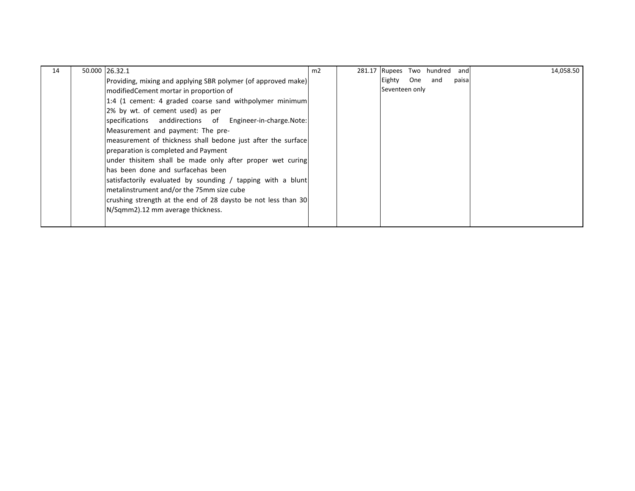| 14 | 50.000 26.32.1                                                | m2 | 281.17 Rupees  |     | Two hundred | and   | 14,058.50 |
|----|---------------------------------------------------------------|----|----------------|-----|-------------|-------|-----------|
|    | Providing, mixing and applying SBR polymer (of approved make) |    | Eighty         | One | and         | paisa |           |
|    | modifiedCement mortar in proportion of                        |    | Seventeen only |     |             |       |           |
|    | 1:4 (1 cement: 4 graded coarse sand withpolymer minimum)      |    |                |     |             |       |           |
|    | 2% by wt. of cement used) as per                              |    |                |     |             |       |           |
|    | specifications anddirections of Engineer-in-charge.Note:      |    |                |     |             |       |           |
|    | Measurement and payment: The pre-                             |    |                |     |             |       |           |
|    | measurement of thickness shall bedone just after the surface  |    |                |     |             |       |           |
|    | preparation is completed and Payment                          |    |                |     |             |       |           |
|    | under thisitem shall be made only after proper wet curing     |    |                |     |             |       |           |
|    | has been done and surfacehas been                             |    |                |     |             |       |           |
|    | satisfactorily evaluated by sounding / tapping with a blunt   |    |                |     |             |       |           |
|    | metalinstrument and/or the 75mm size cube                     |    |                |     |             |       |           |
|    | crushing strength at the end of 28 daysto be not less than 30 |    |                |     |             |       |           |
|    | N/Sqmm2).12 mm average thickness.                             |    |                |     |             |       |           |
|    |                                                               |    |                |     |             |       |           |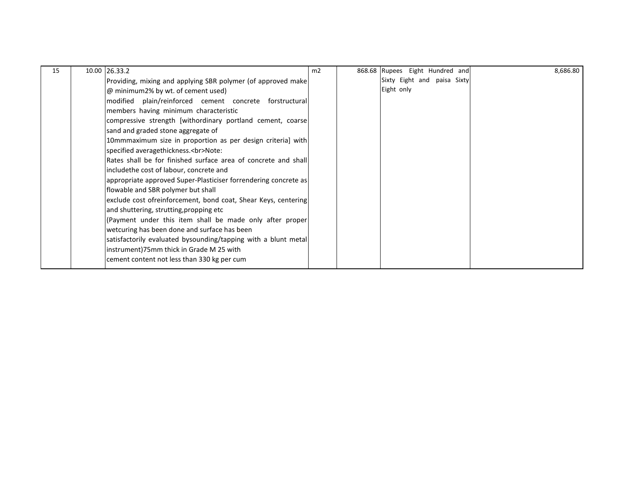| 15 | 10.00 26.33.2                                                   | m <sub>2</sub> | 868.68 Rupees Eight Hundred and | 8,686.80 |
|----|-----------------------------------------------------------------|----------------|---------------------------------|----------|
|    | Providing, mixing and applying SBR polymer (of approved make    |                | Sixty Eight and paisa Sixty     |          |
|    | @ minimum2% by wt. of cement used)                              |                | Eight only                      |          |
|    | modified plain/reinforced cement concrete forstructural         |                |                                 |          |
|    | members having minimum characteristic                           |                |                                 |          |
|    | compressive strength [withordinary portland cement, coarse]     |                |                                 |          |
|    | sand and graded stone aggregate of                              |                |                                 |          |
|    | 10mmmaximum size in proportion as per design criteria] with     |                |                                 |          |
|    | specified averagethickness.<br>Note:                            |                |                                 |          |
|    | Rates shall be for finished surface area of concrete and shall  |                |                                 |          |
|    | includethe cost of labour, concrete and                         |                |                                 |          |
|    | appropriate approved Super-Plasticiser forrendering concrete as |                |                                 |          |
|    | flowable and SBR polymer but shall                              |                |                                 |          |
|    | exclude cost ofreinforcement, bond coat, Shear Keys, centering  |                |                                 |          |
|    | and shuttering, strutting, propping etc                         |                |                                 |          |
|    | (Payment under this item shall be made only after proper        |                |                                 |          |
|    | wetcuring has been done and surface has been                    |                |                                 |          |
|    | satisfactorily evaluated bysounding/tapping with a blunt metal  |                |                                 |          |
|    | instrument)75mm thick in Grade M 25 with                        |                |                                 |          |
|    | cement content not less than 330 kg per cum                     |                |                                 |          |
|    |                                                                 |                |                                 |          |